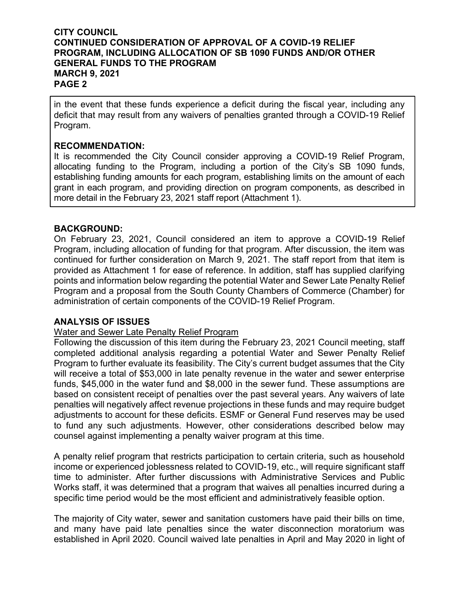in the event that these funds experience a deficit during the fiscal year, including any deficit that may result from any waivers of penalties granted through a COVID-19 Relief Program.

#### **RECOMMENDATION:**

It is recommended the City Council consider approving a COVID-19 Relief Program, allocating funding to the Program, including a portion of the City's SB 1090 funds, establishing funding amounts for each program, establishing limits on the amount of each grant in each program, and providing direction on program components, as described in more detail in the February 23, 2021 staff report (Attachment 1).

#### **BACKGROUND:**

On February 23, 2021, Council considered an item to approve a COVID-19 Relief Program, including allocation of funding for that program. After discussion, the item was continued for further consideration on March 9, 2021. The staff report from that item is provided as Attachment 1 for ease of reference. In addition, staff has supplied clarifying points and information below regarding the potential Water and Sewer Late Penalty Relief Program and a proposal from the South County Chambers of Commerce (Chamber) for administration of certain components of the COVID-19 Relief Program.

#### **ANALYSIS OF ISSUES**

#### Water and Sewer Late Penalty Relief Program

Following the discussion of this item during the February 23, 2021 Council meeting, staff completed additional analysis regarding a potential Water and Sewer Penalty Relief Program to further evaluate its feasibility. The City's current budget assumes that the City will receive a total of \$53,000 in late penalty revenue in the water and sewer enterprise funds, \$45,000 in the water fund and \$8,000 in the sewer fund. These assumptions are based on consistent receipt of penalties over the past several years. Any waivers of late penalties will negatively affect revenue projections in these funds and may require budget adjustments to account for these deficits. ESMF or General Fund reserves may be used to fund any such adjustments. However, other considerations described below may counsel against implementing a penalty waiver program at this time.

A penalty relief program that restricts participation to certain criteria, such as household income or experienced joblessness related to COVID-19, etc., will require significant staff time to administer. After further discussions with Administrative Services and Public Works staff, it was determined that a program that waives all penalties incurred during a specific time period would be the most efficient and administratively feasible option.

The majority of City water, sewer and sanitation customers have paid their bills on time, and many have paid late penalties since the water disconnection moratorium was established in April 2020. Council waived late penalties in April and May 2020 in light of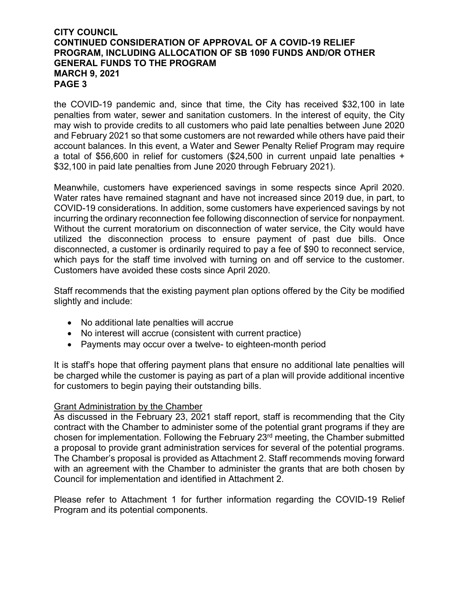the COVID-19 pandemic and, since that time, the City has received \$32,100 in late penalties from water, sewer and sanitation customers. In the interest of equity, the City may wish to provide credits to all customers who paid late penalties between June 2020 and February 2021 so that some customers are not rewarded while others have paid their account balances. In this event, a Water and Sewer Penalty Relief Program may require a total of \$56,600 in relief for customers (\$24,500 in current unpaid late penalties + \$32,100 in paid late penalties from June 2020 through February 2021).

Meanwhile, customers have experienced savings in some respects since April 2020. Water rates have remained stagnant and have not increased since 2019 due, in part, to COVID-19 considerations. In addition, some customers have experienced savings by not incurring the ordinary reconnection fee following disconnection of service for nonpayment. Without the current moratorium on disconnection of water service, the City would have utilized the disconnection process to ensure payment of past due bills. Once disconnected, a customer is ordinarily required to pay a fee of \$90 to reconnect service, which pays for the staff time involved with turning on and off service to the customer. Customers have avoided these costs since April 2020.

Staff recommends that the existing payment plan options offered by the City be modified slightly and include:

- No additional late penalties will accrue
- No interest will accrue (consistent with current practice)
- Payments may occur over a twelve- to eighteen-month period

It is staff's hope that offering payment plans that ensure no additional late penalties will be charged while the customer is paying as part of a plan will provide additional incentive for customers to begin paying their outstanding bills.

#### Grant Administration by the Chamber

As discussed in the February 23, 2021 staff report, staff is recommending that the City contract with the Chamber to administer some of the potential grant programs if they are chosen for implementation. Following the February 23rd meeting, the Chamber submitted a proposal to provide grant administration services for several of the potential programs. The Chamber's proposal is provided as Attachment 2. Staff recommends moving forward with an agreement with the Chamber to administer the grants that are both chosen by Council for implementation and identified in Attachment 2.

Please refer to Attachment 1 for further information regarding the COVID-19 Relief Program and its potential components.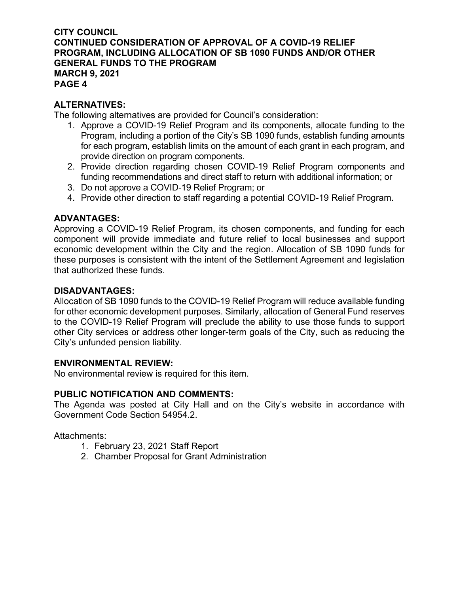#### **ALTERNATIVES:**

The following alternatives are provided for Council's consideration:

- 1. Approve a COVID-19 Relief Program and its components, allocate funding to the Program, including a portion of the City's SB 1090 funds, establish funding amounts for each program, establish limits on the amount of each grant in each program, and provide direction on program components.
- 2. Provide direction regarding chosen COVID-19 Relief Program components and funding recommendations and direct staff to return with additional information; or
- 3. Do not approve a COVID-19 Relief Program; or
- 4. Provide other direction to staff regarding a potential COVID-19 Relief Program.

#### **ADVANTAGES:**

Approving a COVID-19 Relief Program, its chosen components, and funding for each component will provide immediate and future relief to local businesses and support economic development within the City and the region. Allocation of SB 1090 funds for these purposes is consistent with the intent of the Settlement Agreement and legislation that authorized these funds.

#### **DISADVANTAGES:**

Allocation of SB 1090 funds to the COVID-19 Relief Program will reduce available funding for other economic development purposes. Similarly, allocation of General Fund reserves to the COVID-19 Relief Program will preclude the ability to use those funds to support other City services or address other longer-term goals of the City, such as reducing the City's unfunded pension liability.

#### **ENVIRONMENTAL REVIEW:**

No environmental review is required for this item.

#### **PUBLIC NOTIFICATION AND COMMENTS:**

The Agenda was posted at City Hall and on the City's website in accordance with Government Code Section 54954.2.

#### Attachments:

- 1. February 23, 2021 Staff Report
- 2. Chamber Proposal for Grant Administration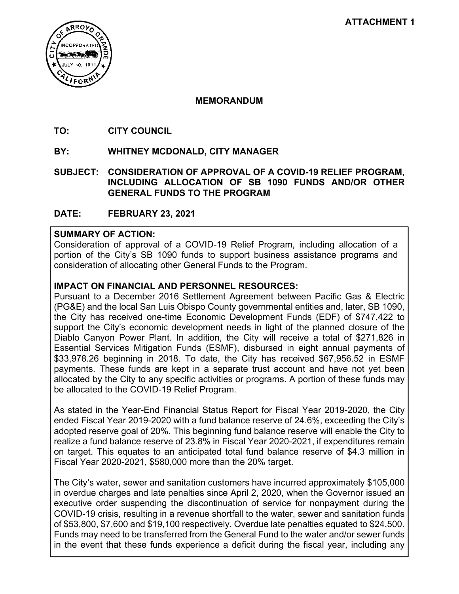

#### **MEMORANDUM**

- **TO: CITY COUNCIL**
- **BY: WHITNEY MCDONALD, CITY MANAGER**
- **SUBJECT: CONSIDERATION OF APPROVAL OF A COVID-19 RELIEF PROGRAM, INCLUDING ALLOCATION OF SB 1090 FUNDS AND/OR OTHER GENERAL FUNDS TO THE PROGRAM**
- **DATE: FEBRUARY 23, 2021**

#### **SUMMARY OF ACTION:**

Consideration of approval of a COVID-19 Relief Program, including allocation of a portion of the City's SB 1090 funds to support business assistance programs and consideration of allocating other General Funds to the Program.

#### **IMPACT ON FINANCIAL AND PERSONNEL RESOURCES:**

Pursuant to a December 2016 Settlement Agreement between Pacific Gas & Electric (PG&E) and the local San Luis Obispo County governmental entities and, later, SB 1090, the City has received one-time Economic Development Funds (EDF) of \$747,422 to support the City's economic development needs in light of the planned closure of the Diablo Canyon Power Plant. In addition, the City will receive a total of \$271,826 in Essential Services Mitigation Funds (ESMF), disbursed in eight annual payments of \$33,978.26 beginning in 2018. To date, the City has received \$67,956.52 in ESMF payments. These funds are kept in a separate trust account and have not yet been allocated by the City to any specific activities or programs. A portion of these funds may be allocated to the COVID-19 Relief Program.

As stated in the Year-End Financial Status Report for Fiscal Year 2019-2020, the City ended Fiscal Year 2019-2020 with a fund balance reserve of 24.6%, exceeding the City's adopted reserve goal of 20%. This beginning fund balance reserve will enable the City to realize a fund balance reserve of 23.8% in Fiscal Year 2020-2021, if expenditures remain on target. This equates to an anticipated total fund balance reserve of \$4.3 million in Fiscal Year 2020-2021, \$580,000 more than the 20% target.

The City's water, sewer and sanitation customers have incurred approximately \$105,000 in overdue charges and late penalties since April 2, 2020, when the Governor issued an executive order suspending the discontinuation of service for nonpayment during the COVID-19 crisis, resulting in a revenue shortfall to the water, sewer and sanitation funds of \$53,800, \$7,600 and \$19,100 respectively. Overdue late penalties equated to \$24,500. Funds may need to be transferred from the General Fund to the water and/or sewer funds in the event that these funds experience a deficit during the fiscal year, including any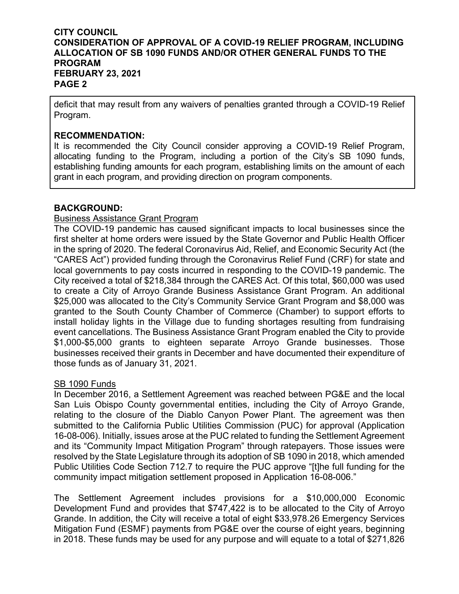deficit that may result from any waivers of penalties granted through a COVID-19 Relief Program.

#### **RECOMMENDATION:**

It is recommended the City Council consider approving a COVID-19 Relief Program, allocating funding to the Program, including a portion of the City's SB 1090 funds, establishing funding amounts for each program, establishing limits on the amount of each grant in each program, and providing direction on program components.

#### **BACKGROUND:**

#### Business Assistance Grant Program

The COVID-19 pandemic has caused significant impacts to local businesses since the first shelter at home orders were issued by the State Governor and Public Health Officer in the spring of 2020. The federal Coronavirus Aid, Relief, and Economic Security Act (the "CARES Act") provided funding through the Coronavirus Relief Fund (CRF) for state and local governments to pay costs incurred in responding to the COVID-19 pandemic. The City received a total of \$218,384 through the CARES Act. Of this total, \$60,000 was used to create a City of Arroyo Grande Business Assistance Grant Program. An additional \$25,000 was allocated to the City's Community Service Grant Program and \$8,000 was granted to the South County Chamber of Commerce (Chamber) to support efforts to install holiday lights in the Village due to funding shortages resulting from fundraising event cancellations. The Business Assistance Grant Program enabled the City to provide \$1,000-\$5,000 grants to eighteen separate Arroyo Grande businesses. Those businesses received their grants in December and have documented their expenditure of those funds as of January 31, 2021.

#### **SB 1090 Funds**

In December 2016, a Settlement Agreement was reached between PG&E and the local San Luis Obispo County governmental entities, including the City of Arroyo Grande, relating to the closure of the Diablo Canyon Power Plant. The agreement was then submitted to the California Public Utilities Commission (PUC) for approval (Application 16-08-006). Initially, issues arose at the PUC related to funding the Settlement Agreement and its "Community Impact Mitigation Program" through ratepayers. Those issues were resolved by the State Legislature through its adoption of SB 1090 in 2018, which amended Public Utilities Code Section 712.7 to require the PUC approve "[t]he full funding for the community impact mitigation settlement proposed in Application 16-08-006."

The Settlement Agreement includes provisions for a \$10,000,000 Economic Development Fund and provides that \$747,422 is to be allocated to the City of Arroyo Grande. In addition, the City will receive a total of eight \$33,978.26 Emergency Services Mitigation Fund (ESMF) payments from PG&E over the course of eight years, beginning in 2018. These funds may be used for any purpose and will equate to a total of \$271,826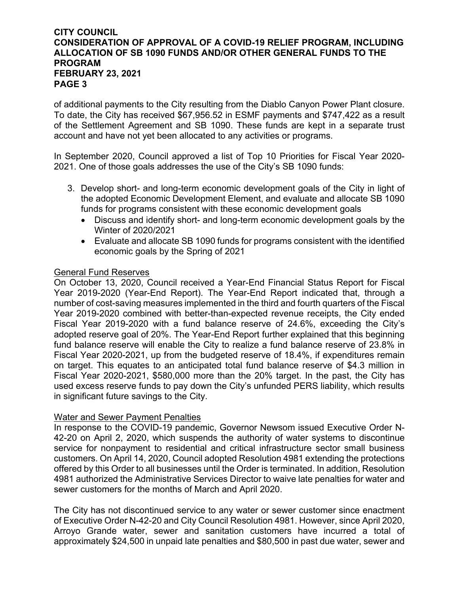of additional payments to the City resulting from the Diablo Canyon Power Plant closure. To date, the City has received \$67,956.52 in ESMF payments and \$747,422 as a result of the Settlement Agreement and SB 1090. These funds are kept in a separate trust account and have not yet been allocated to any activities or programs.

In September 2020, Council approved a list of Top 10 Priorities for Fiscal Year 2020- 2021. One of those goals addresses the use of the City's SB 1090 funds:

- 3. Develop short- and long-term economic development goals of the City in light of the adopted Economic Development Element, and evaluate and allocate SB 1090 funds for programs consistent with these economic development goals
	- Discuss and identify short- and long-term economic development goals by the Winter of 2020/2021
	- Evaluate and allocate SB 1090 funds for programs consistent with the identified economic goals by the Spring of 2021

#### General Fund Reserves

On October 13, 2020, Council received a Year-End Financial Status Report for Fiscal Year 2019-2020 (Year-End Report). The Year-End Report indicated that, through a number of cost-saving measures implemented in the third and fourth quarters of the Fiscal Year 2019-2020 combined with better-than-expected revenue receipts, the City ended Fiscal Year 2019-2020 with a fund balance reserve of 24.6%, exceeding the City's adopted reserve goal of 20%. The Year-End Report further explained that this beginning fund balance reserve will enable the City to realize a fund balance reserve of 23.8% in Fiscal Year 2020-2021, up from the budgeted reserve of 18.4%, if expenditures remain on target. This equates to an anticipated total fund balance reserve of \$4.3 million in Fiscal Year 2020-2021, \$580,000 more than the 20% target. In the past, the City has used excess reserve funds to pay down the City's unfunded PERS liability, which results in significant future savings to the City.

#### Water and Sewer Payment Penalties

In response to the COVID-19 pandemic, Governor Newsom issued Executive Order N-42-20 on April 2, 2020, which suspends the authority of water systems to discontinue service for nonpayment to residential and critical infrastructure sector small business customers. On April 14, 2020, Council adopted Resolution 4981 extending the protections offered by this Order to all businesses until the Order is terminated. In addition, Resolution 4981 authorized the Administrative Services Director to waive late penalties for water and sewer customers for the months of March and April 2020.

The City has not discontinued service to any water or sewer customer since enactment of Executive Order N-42-20 and City Council Resolution 4981. However, since April 2020, Arroyo Grande water, sewer and sanitation customers have incurred a total of approximately \$24,500 in unpaid late penalties and \$80,500 in past due water, sewer and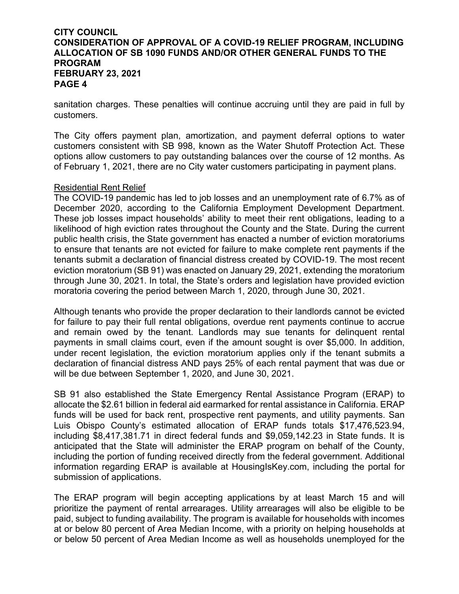sanitation charges. These penalties will continue accruing until they are paid in full by customers.

The City offers payment plan, amortization, and payment deferral options to water customers consistent with SB 998, known as the Water Shutoff Protection Act. These options allow customers to pay outstanding balances over the course of 12 months. As of February 1, 2021, there are no City water customers participating in payment plans.

#### Residential Rent Relief

The COVID-19 pandemic has led to job losses and an unemployment rate of 6.7% as of December 2020, according to the California Employment Development Department. These job losses impact households' ability to meet their rent obligations, leading to a likelihood of high eviction rates throughout the County and the State. During the current public health crisis, the State government has enacted a number of eviction moratoriums to ensure that tenants are not evicted for failure to make complete rent payments if the tenants submit a declaration of financial distress created by COVID-19. The most recent eviction moratorium (SB 91) was enacted on January 29, 2021, extending the moratorium through June 30, 2021. In total, the State's orders and legislation have provided eviction moratoria covering the period between March 1, 2020, through June 30, 2021.

Although tenants who provide the proper declaration to their landlords cannot be evicted for failure to pay their full rental obligations, overdue rent payments continue to accrue and remain owed by the tenant. Landlords may sue tenants for delinquent rental payments in small claims court, even if the amount sought is over \$5,000. In addition, under recent legislation, the eviction moratorium applies only if the tenant submits a declaration of financial distress AND pays 25% of each rental payment that was due or will be due between September 1, 2020, and June 30, 2021.

SB 91 also established the State Emergency Rental Assistance Program (ERAP) to allocate the \$2.61 billion in federal aid earmarked for rental assistance in California. ERAP funds will be used for back rent, prospective rent payments, and utility payments. San Luis Obispo County's estimated allocation of ERAP funds totals \$17,476,523.94, including \$8,417,381.71 in direct federal funds and \$9,059,142.23 in State funds. It is anticipated that the State will administer the ERAP program on behalf of the County, including the portion of funding received directly from the federal government. Additional information regarding ERAP is available at HousingIsKey.com, including the portal for submission of applications.

The ERAP program will begin accepting applications by at least March 15 and will prioritize the payment of rental arrearages. Utility arrearages will also be eligible to be paid, subject to funding availability. The program is available for households with incomes at or below 80 percent of Area Median Income, with a priority on helping households at or below 50 percent of Area Median Income as well as households unemployed for the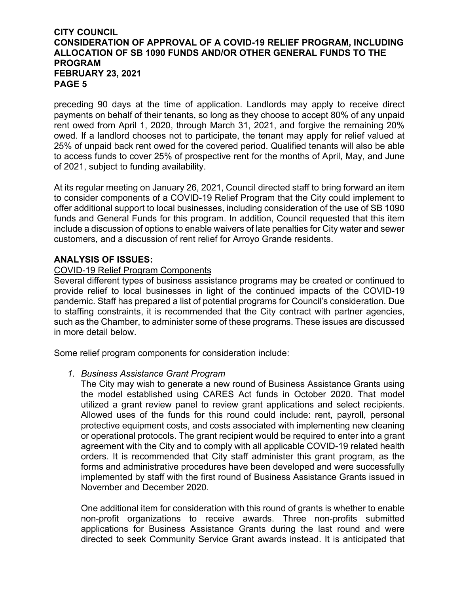preceding 90 days at the time of application. Landlords may apply to receive direct payments on behalf of their tenants, so long as they choose to accept 80% of any unpaid rent owed from April 1, 2020, through March 31, 2021, and forgive the remaining 20% owed. If a landlord chooses not to participate, the tenant may apply for relief valued at 25% of unpaid back rent owed for the covered period. Qualified tenants will also be able to access funds to cover 25% of prospective rent for the months of April, May, and June of 2021, subject to funding availability.

At its regular meeting on January 26, 2021, Council directed staff to bring forward an item to consider components of a COVID-19 Relief Program that the City could implement to offer additional support to local businesses, including consideration of the use of SB 1090 funds and General Funds for this program. In addition, Council requested that this item include a discussion of options to enable waivers of late penalties for City water and sewer customers, and a discussion of rent relief for Arroyo Grande residents.

#### **ANALYSIS OF ISSUES:**

#### COVID-19 Relief Program Components

Several different types of business assistance programs may be created or continued to provide relief to local businesses in light of the continued impacts of the COVID-19 pandemic. Staff has prepared a list of potential programs for Council's consideration. Due to staffing constraints, it is recommended that the City contract with partner agencies, such as the Chamber, to administer some of these programs. These issues are discussed in more detail below.

Some relief program components for consideration include:

#### *1. Business Assistance Grant Program*

The City may wish to generate a new round of Business Assistance Grants using the model established using CARES Act funds in October 2020. That model utilized a grant review panel to review grant applications and select recipients. Allowed uses of the funds for this round could include: rent, payroll, personal protective equipment costs, and costs associated with implementing new cleaning or operational protocols. The grant recipient would be required to enter into a grant agreement with the City and to comply with all applicable COVID-19 related health orders. It is recommended that City staff administer this grant program, as the forms and administrative procedures have been developed and were successfully implemented by staff with the first round of Business Assistance Grants issued in November and December 2020.

One additional item for consideration with this round of grants is whether to enable non-profit organizations to receive awards. Three non-profits submitted applications for Business Assistance Grants during the last round and were directed to seek Community Service Grant awards instead. It is anticipated that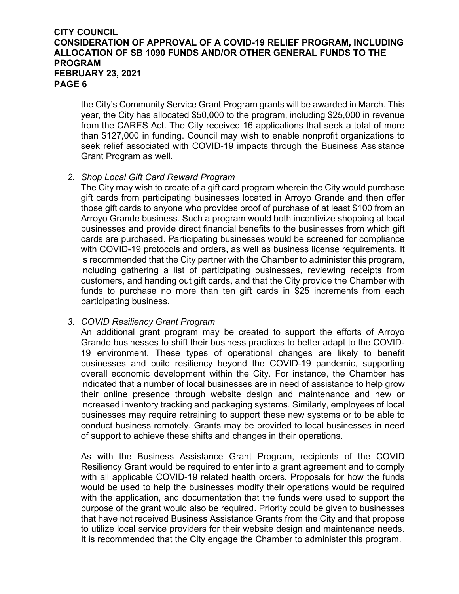the City's Community Service Grant Program grants will be awarded in March. This year, the City has allocated \$50,000 to the program, including \$25,000 in revenue from the CARES Act. The City received 16 applications that seek a total of more than \$127,000 in funding. Council may wish to enable nonprofit organizations to seek relief associated with COVID-19 impacts through the Business Assistance Grant Program as well.

#### *2. Shop Local Gift Card Reward Program*

The City may wish to create of a gift card program wherein the City would purchase gift cards from participating businesses located in Arroyo Grande and then offer those gift cards to anyone who provides proof of purchase of at least \$100 from an Arroyo Grande business. Such a program would both incentivize shopping at local businesses and provide direct financial benefits to the businesses from which gift cards are purchased. Participating businesses would be screened for compliance with COVID-19 protocols and orders, as well as business license requirements. It is recommended that the City partner with the Chamber to administer this program, including gathering a list of participating businesses, reviewing receipts from customers, and handing out gift cards, and that the City provide the Chamber with funds to purchase no more than ten gift cards in \$25 increments from each participating business.

#### *3. COVID Resiliency Grant Program*

An additional grant program may be created to support the efforts of Arroyo Grande businesses to shift their business practices to better adapt to the COVID-19 environment. These types of operational changes are likely to benefit businesses and build resiliency beyond the COVID-19 pandemic, supporting overall economic development within the City. For instance, the Chamber has indicated that a number of local businesses are in need of assistance to help grow their online presence through website design and maintenance and new or increased inventory tracking and packaging systems. Similarly, employees of local businesses may require retraining to support these new systems or to be able to conduct business remotely. Grants may be provided to local businesses in need of support to achieve these shifts and changes in their operations.

As with the Business Assistance Grant Program, recipients of the COVID Resiliency Grant would be required to enter into a grant agreement and to comply with all applicable COVID-19 related health orders. Proposals for how the funds would be used to help the businesses modify their operations would be required with the application, and documentation that the funds were used to support the purpose of the grant would also be required. Priority could be given to businesses that have not received Business Assistance Grants from the City and that propose to utilize local service providers for their website design and maintenance needs. It is recommended that the City engage the Chamber to administer this program.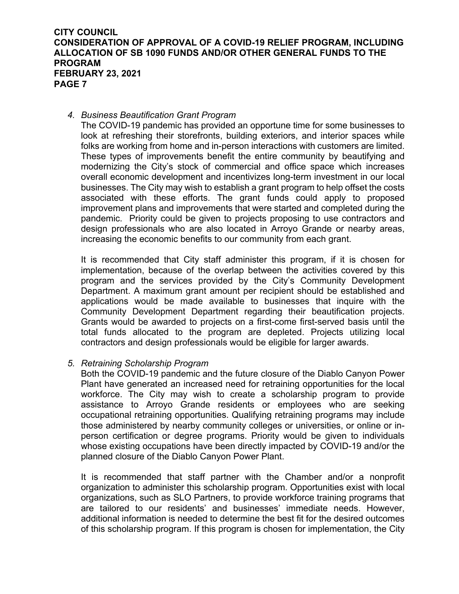#### *4. Business Beautification Grant Program*

The COVID-19 pandemic has provided an opportune time for some businesses to look at refreshing their storefronts, building exteriors, and interior spaces while folks are working from home and in-person interactions with customers are limited. These types of improvements benefit the entire community by beautifying and modernizing the City's stock of commercial and office space which increases overall economic development and incentivizes long-term investment in our local businesses. The City may wish to establish a grant program to help offset the costs associated with these efforts. The grant funds could apply to proposed improvement plans and improvements that were started and completed during the pandemic. Priority could be given to projects proposing to use contractors and design professionals who are also located in Arroyo Grande or nearby areas, increasing the economic benefits to our community from each grant.

It is recommended that City staff administer this program, if it is chosen for implementation, because of the overlap between the activities covered by this program and the services provided by the City's Community Development Department. A maximum grant amount per recipient should be established and applications would be made available to businesses that inquire with the Community Development Department regarding their beautification projects. Grants would be awarded to projects on a first-come first-served basis until the total funds allocated to the program are depleted. Projects utilizing local contractors and design professionals would be eligible for larger awards.

#### *5. Retraining Scholarship Program*

Both the COVID-19 pandemic and the future closure of the Diablo Canyon Power Plant have generated an increased need for retraining opportunities for the local workforce. The City may wish to create a scholarship program to provide assistance to Arroyo Grande residents or employees who are seeking occupational retraining opportunities. Qualifying retraining programs may include those administered by nearby community colleges or universities, or online or inperson certification or degree programs. Priority would be given to individuals whose existing occupations have been directly impacted by COVID-19 and/or the planned closure of the Diablo Canyon Power Plant.

It is recommended that staff partner with the Chamber and/or a nonprofit organization to administer this scholarship program. Opportunities exist with local organizations, such as SLO Partners, to provide workforce training programs that are tailored to our residents' and businesses' immediate needs. However, additional information is needed to determine the best fit for the desired outcomes of this scholarship program. If this program is chosen for implementation, the City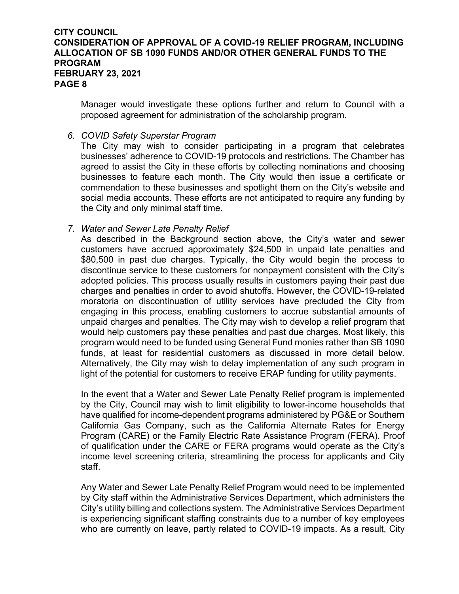Manager would investigate these options further and return to Council with a proposed agreement for administration of the scholarship program.

#### *6. COVID Safety Superstar Program*

The City may wish to consider participating in a program that celebrates businesses' adherence to COVID-19 protocols and restrictions. The Chamber has agreed to assist the City in these efforts by collecting nominations and choosing businesses to feature each month. The City would then issue a certificate or commendation to these businesses and spotlight them on the City's website and social media accounts. These efforts are not anticipated to require any funding by the City and only minimal staff time.

#### *7. Water and Sewer Late Penalty Relief*

As described in the Background section above, the City's water and sewer customers have accrued approximately \$24,500 in unpaid late penalties and \$80,500 in past due charges. Typically, the City would begin the process to discontinue service to these customers for nonpayment consistent with the City's adopted policies. This process usually results in customers paying their past due charges and penalties in order to avoid shutoffs. However, the COVID-19-related moratoria on discontinuation of utility services have precluded the City from engaging in this process, enabling customers to accrue substantial amounts of unpaid charges and penalties. The City may wish to develop a relief program that would help customers pay these penalties and past due charges. Most likely, this program would need to be funded using General Fund monies rather than SB 1090 funds, at least for residential customers as discussed in more detail below. Alternatively, the City may wish to delay implementation of any such program in light of the potential for customers to receive ERAP funding for utility payments.

In the event that a Water and Sewer Late Penalty Relief program is implemented by the City, Council may wish to limit eligibility to lower-income households that have qualified for income-dependent programs administered by PG&E or Southern California Gas Company, such as the California Alternate Rates for Energy Program (CARE) or the Family Electric Rate Assistance Program (FERA). Proof of qualification under the CARE or FERA programs would operate as the City's income level screening criteria, streamlining the process for applicants and City staff.

Any Water and Sewer Late Penalty Relief Program would need to be implemented by City staff within the Administrative Services Department, which administers the City's utility billing and collections system. The Administrative Services Department is experiencing significant staffing constraints due to a number of key employees who are currently on leave, partly related to COVID-19 impacts. As a result, City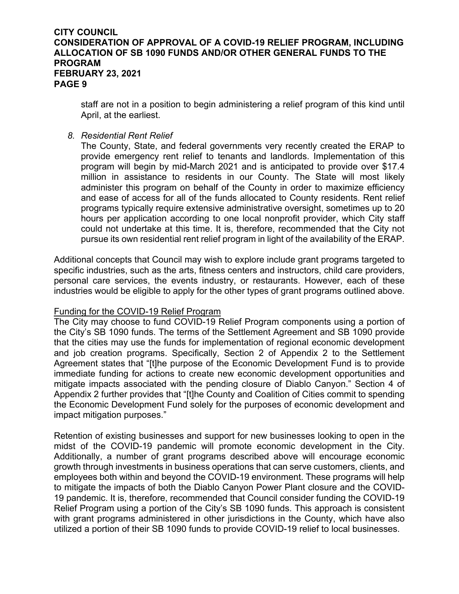staff are not in a position to begin administering a relief program of this kind until April, at the earliest.

#### *8. Residential Rent Relief*

The County, State, and federal governments very recently created the ERAP to provide emergency rent relief to tenants and landlords. Implementation of this program will begin by mid-March 2021 and is anticipated to provide over \$17.4 million in assistance to residents in our County. The State will most likely administer this program on behalf of the County in order to maximize efficiency and ease of access for all of the funds allocated to County residents. Rent relief programs typically require extensive administrative oversight, sometimes up to 20 hours per application according to one local nonprofit provider, which City staff could not undertake at this time. It is, therefore, recommended that the City not pursue its own residential rent relief program in light of the availability of the ERAP.

Additional concepts that Council may wish to explore include grant programs targeted to specific industries, such as the arts, fitness centers and instructors, child care providers, personal care services, the events industry, or restaurants. However, each of these industries would be eligible to apply for the other types of grant programs outlined above.

#### Funding for the COVID-19 Relief Program

The City may choose to fund COVID-19 Relief Program components using a portion of the City's SB 1090 funds. The terms of the Settlement Agreement and SB 1090 provide that the cities may use the funds for implementation of regional economic development and job creation programs. Specifically, Section 2 of Appendix 2 to the Settlement Agreement states that "[t]he purpose of the Economic Development Fund is to provide immediate funding for actions to create new economic development opportunities and mitigate impacts associated with the pending closure of Diablo Canyon." Section 4 of Appendix 2 further provides that "[t]he County and Coalition of Cities commit to spending the Economic Development Fund solely for the purposes of economic development and impact mitigation purposes."

Retention of existing businesses and support for new businesses looking to open in the midst of the COVID-19 pandemic will promote economic development in the City. Additionally, a number of grant programs described above will encourage economic growth through investments in business operations that can serve customers, clients, and employees both within and beyond the COVID-19 environment. These programs will help to mitigate the impacts of both the Diablo Canyon Power Plant closure and the COVID-19 pandemic. It is, therefore, recommended that Council consider funding the COVID-19 Relief Program using a portion of the City's SB 1090 funds. This approach is consistent with grant programs administered in other jurisdictions in the County, which have also utilized a portion of their SB 1090 funds to provide COVID-19 relief to local businesses.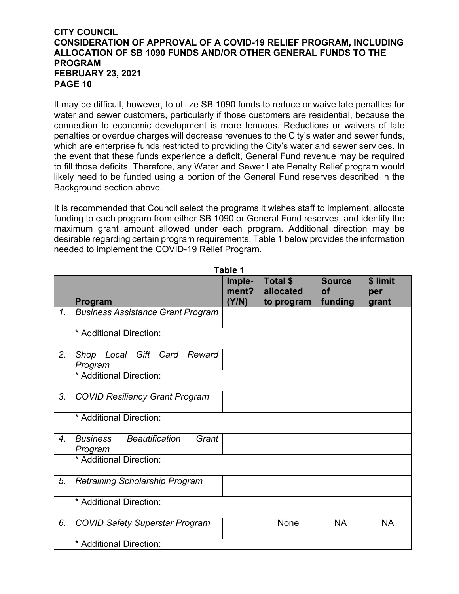It may be difficult, however, to utilize SB 1090 funds to reduce or waive late penalties for water and sewer customers, particularly if those customers are residential, because the connection to economic development is more tenuous. Reductions or waivers of late penalties or overdue charges will decrease revenues to the City's water and sewer funds, which are enterprise funds restricted to providing the City's water and sewer services. In the event that these funds experience a deficit, General Fund revenue may be required to fill those deficits. Therefore, any Water and Sewer Late Penalty Relief program would likely need to be funded using a portion of the General Fund reserves described in the Background section above.

It is recommended that Council select the programs it wishes staff to implement, allocate funding to each program from either SB 1090 or General Fund reserves, and identify the maximum grant amount allowed under each program. Additional direction may be desirable regarding certain program requirements. Table 1 below provides the information needed to implement the COVID-19 Relief Program.

|                | Program                                            | Imple-<br>ment?<br>(Y/N) | <b>Total \$</b><br>allocated<br>to program | <b>Source</b><br><b>of</b><br>funding | \$ limit<br>per<br>grant |
|----------------|----------------------------------------------------|--------------------------|--------------------------------------------|---------------------------------------|--------------------------|
| $\mathbf{1}$ . | <b>Business Assistance Grant Program</b>           |                          |                                            |                                       |                          |
|                | * Additional Direction:                            |                          |                                            |                                       |                          |
| 2.             | Local Gift Card Reward<br>Shop<br>Program          |                          |                                            |                                       |                          |
|                | * Additional Direction:                            |                          |                                            |                                       |                          |
| 3.             | <b>COVID Resiliency Grant Program</b>              |                          |                                            |                                       |                          |
|                | * Additional Direction:                            |                          |                                            |                                       |                          |
| 4 <sub>1</sub> | <b>Business Beautification</b><br>Grant<br>Program |                          |                                            |                                       |                          |
|                | * Additional Direction:                            |                          |                                            |                                       |                          |
| 5.             | <b>Retraining Scholarship Program</b>              |                          |                                            |                                       |                          |
|                | * Additional Direction:                            |                          |                                            |                                       |                          |
| 6.             | <b>COVID Safety Superstar Program</b>              |                          | <b>None</b>                                | <b>NA</b>                             | <b>NA</b>                |
|                | * Additional Direction:                            |                          |                                            |                                       |                          |

**Table 1**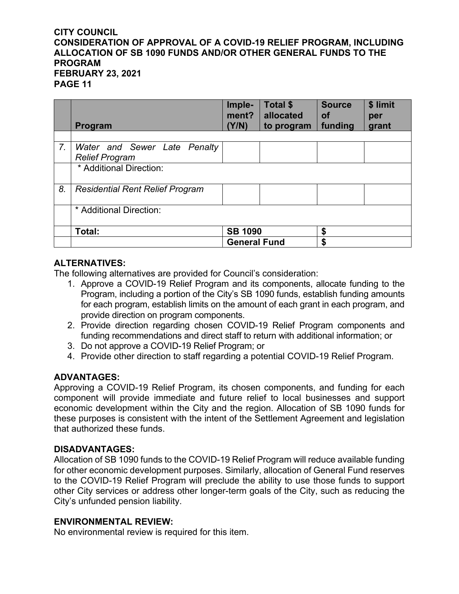|    | Program                                               | Imple-<br>ment?<br>(Y/N) | Total \$<br>allocated<br>to program | <b>Source</b><br><b>of</b><br>funding | \$ limit<br>per<br>grant |
|----|-------------------------------------------------------|--------------------------|-------------------------------------|---------------------------------------|--------------------------|
|    |                                                       |                          |                                     |                                       |                          |
| 7. | Water and Sewer Late Penalty<br><b>Relief Program</b> |                          |                                     |                                       |                          |
|    | * Additional Direction:                               |                          |                                     |                                       |                          |
| 8. | <b>Residential Rent Relief Program</b>                |                          |                                     |                                       |                          |
|    | * Additional Direction:                               |                          |                                     |                                       |                          |
|    | Total:                                                | <b>SB 1090</b>           |                                     | \$                                    |                          |
|    |                                                       | <b>General Fund</b>      |                                     | \$                                    |                          |

#### **ALTERNATIVES:**

The following alternatives are provided for Council's consideration:

- 1. Approve a COVID-19 Relief Program and its components, allocate funding to the Program, including a portion of the City's SB 1090 funds, establish funding amounts for each program, establish limits on the amount of each grant in each program, and provide direction on program components.
- 2. Provide direction regarding chosen COVID-19 Relief Program components and funding recommendations and direct staff to return with additional information; or
- 3. Do not approve a COVID-19 Relief Program; or
- 4. Provide other direction to staff regarding a potential COVID-19 Relief Program.

#### **ADVANTAGES:**

Approving a COVID-19 Relief Program, its chosen components, and funding for each component will provide immediate and future relief to local businesses and support economic development within the City and the region. Allocation of SB 1090 funds for these purposes is consistent with the intent of the Settlement Agreement and legislation that authorized these funds.

#### **DISADVANTAGES:**

Allocation of SB 1090 funds to the COVID-19 Relief Program will reduce available funding for other economic development purposes. Similarly, allocation of General Fund reserves to the COVID-19 Relief Program will preclude the ability to use those funds to support other City services or address other longer-term goals of the City, such as reducing the City's unfunded pension liability.

#### **ENVIRONMENTAL REVIEW:**

No environmental review is required for this item.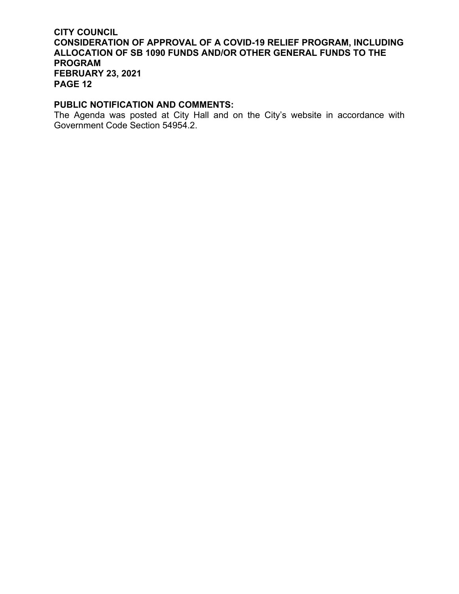#### **PUBLIC NOTIFICATION AND COMMENTS:**

The Agenda was posted at City Hall and on the City's website in accordance with Government Code Section 54954.2.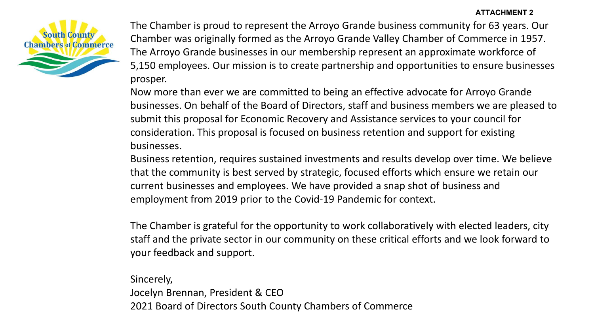

The Chamber is proud to represent the Arroyo Grande business community for 63 years. Our Chamber was originally formed as the Arroyo Grande Valley Chamber of Commerce in 1957. The Arroyo Grande businesses in our membership represent an approximate workforce of 5,150 employees. Our mission is to create partnership and opportunities to ensure businesses prosper.

Now more than ever we are committed to being an effective advocate for Arroyo Grande businesses. On behalf of the Board of Directors, staff and business members we are pleased to submit this proposal for Economic Recovery and Assistance services to your council for consideration. This proposal is focused on business retention and support for existing businesses.

Business retention, requires sustained investments and results develop over time. We believe that the community is best served by strategic, focused efforts which ensure we retain our current businesses and employees. We have provided a snap shot of business and employment from 2019 prior to the Covid-19 Pandemic for context.

The Chamber is grateful for the opportunity to work collaboratively with elected leaders, city staff and the private sector in our community on these critical efforts and we look forward to your feedback and support.

Sincerely, Jocelyn Brennan, President & CEO 2021 Board of Directors South County Chambers of Commerce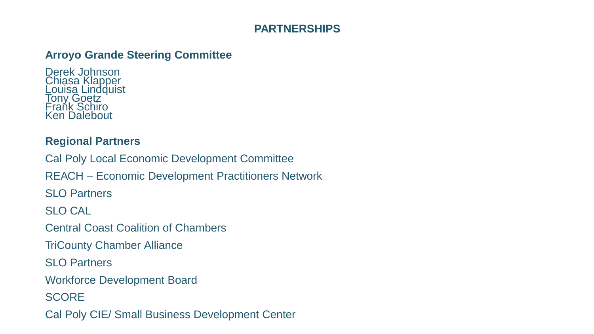## **PARTNERSHIPS**

## **Arroyo Grande Steering Committee**

Derek Johnson Chiasa Klapper Louisa Lindquist Tony Goetz Frańk Schiro Ken Dalebout

## **Regional Partners**

Cal Poly Local Economic Development Committee REACH – Economic Development Practitioners Network SLO Partners SLO CAL Central Coast Coalition of Chambers TriCounty Chamber Alliance SLO Partners Workforce Development Board **SCORE** 

Cal Poly CIE/ Small Business Development Center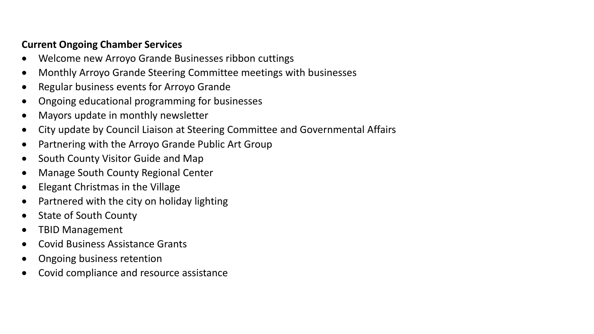## **Current Ongoing Chamber Services**

- Welcome new Arroyo Grande Businesses ribbon cuttings
- Monthly Arroyo Grande Steering Committee meetings with businesses
- Regular business events for Arroyo Grande
- Ongoing educational programming for businesses
- Mayors update in monthly newsletter
- City update by Council Liaison at Steering Committee and Governmental Affairs
- Partnering with the Arroyo Grande Public Art Group
- South County Visitor Guide and Map
- Manage South County Regional Center
- Elegant Christmas in the Village
- Partnered with the city on holiday lighting
- State of South County
- TBID Management
- Covid Business Assistance Grants
- Ongoing business retention
- Covid compliance and resource assistance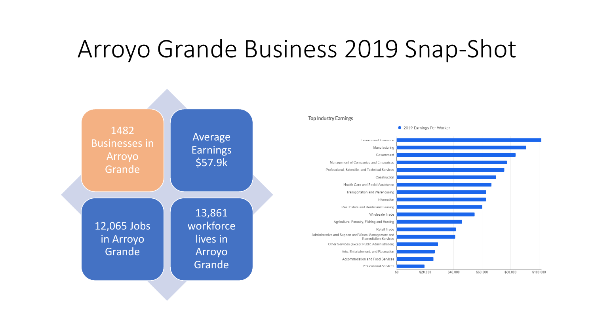# Arroyo Grande Business 2019 Snap-Shot

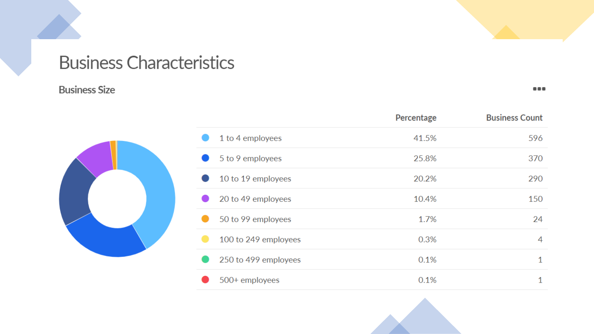## **Business Characteristics**

## **Business Size**

 $\begin{array}{ccccc} \bullet & \bullet & \bullet & \bullet \end{array}$ 



|                      | Percentage | <b>Business Count</b> |
|----------------------|------------|-----------------------|
| 1 to 4 employees     | 41.5%      | 596                   |
| 5 to 9 employees     | 25.8%      | 370                   |
| 10 to 19 employees   | 20.2%      | 290                   |
| 20 to 49 employees   | 10.4%      | 150                   |
| 50 to 99 employees   | 1.7%       | 24                    |
| 100 to 249 employees | 0.3%       | 4                     |
| 250 to 499 employees | 0.1%       | 1                     |
| 500+ employees       | 0.1%       | 1                     |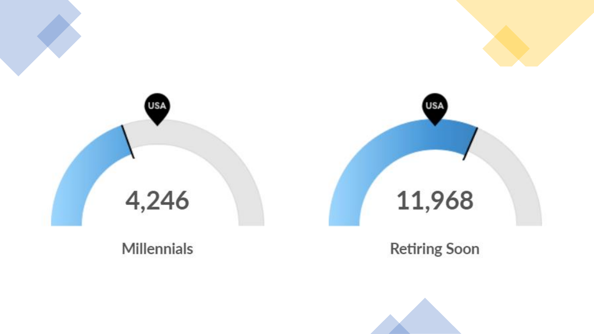

**Item 10.a. - Page 22**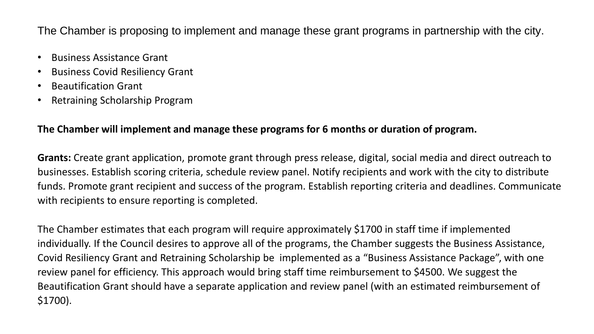The Chamber is proposing to implement and manage these grant programs in partnership with the city.

- Business Assistance Grant
- Business Covid Resiliency Grant
- Beautification Grant
- Retraining Scholarship Program

### **The Chamber will implement and manage these programs for 6 months or duration of program.**

**Grants:** Create grant application, promote grant through press release, digital, social media and direct outreach to businesses. Establish scoring criteria, schedule review panel. Notify recipients and work with the city to distribute funds. Promote grant recipient and success of the program. Establish reporting criteria and deadlines. Communicate with recipients to ensure reporting is completed.

The Chamber estimates that each program will require approximately \$1700 in staff time if implemented individually. If the Council desires to approve all of the programs, the Chamber suggests the Business Assistance, Covid Resiliency Grant and Retraining Scholarship be implemented as a "Business Assistance Package", with one review panel for efficiency. This approach would bring staff time reimbursement to \$4500. We suggest the Beautification Grant should have a separate application and review panel (with an estimated reimbursement of \$1700).